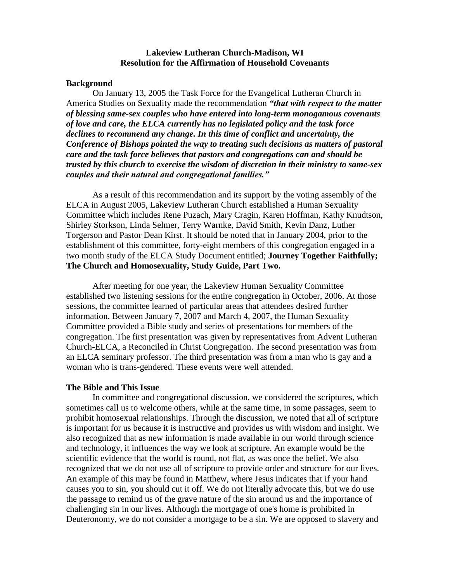# **Lakeview Lutheran Church-Madison, WI Resolution for the Affirmation of Household Covenants**

### **Background**

On January 13, 2005 the Task Force for the Evangelical Lutheran Church in America Studies on Sexuality made the recommendation *"that with respect to the matter of blessing same-sex couples who have entered into long-term monogamous covenants of love and care, the ELCA currently has no legislated policy and the task force declines to recommend any change. In this time of conflict and uncertainty, the Conference of Bishops pointed the way to treating such decisions as matters of pastoral care and the task force believes that pastors and congregations can and should be trusted by this church to exercise the wisdom of discretion in their ministry to same-sex couples and their natural and congregational families."*

As a result of this recommendation and its support by the voting assembly of the ELCA in August 2005, Lakeview Lutheran Church established a Human Sexuality Committee which includes Rene Puzach, Mary Cragin, Karen Hoffman, Kathy Knudtson, Shirley Storkson, Linda Selmer, Terry Warnke, David Smith, Kevin Danz, Luther Torgerson and Pastor Dean Kirst. It should be noted that in January 2004, prior to the establishment of this committee, forty-eight members of this congregation engaged in a two month study of the ELCA Study Document entitled; **Journey Together Faithfully; The Church and Homosexuality, Study Guide, Part Two.**

After meeting for one year, the Lakeview Human Sexuality Committee established two listening sessions for the entire congregation in October, 2006. At those sessions, the committee learned of particular areas that attendees desired further information. Between January 7, 2007 and March 4, 2007, the Human Sexuality Committee provided a Bible study and series of presentations for members of the congregation. The first presentation was given by representatives from Advent Lutheran Church-ELCA, a Reconciled in Christ Congregation. The second presentation was from an ELCA seminary professor. The third presentation was from a man who is gay and a woman who is trans-gendered. These events were well attended.

### **The Bible and This Issue**

In committee and congregational discussion, we considered the scriptures, which sometimes call us to welcome others, while at the same time, in some passages, seem to prohibit homosexual relationships. Through the discussion, we noted that all of scripture is important for us because it is instructive and provides us with wisdom and insight. We also recognized that as new information is made available in our world through science and technology, it influences the way we look at scripture. An example would be the scientific evidence that the world is round, not flat, as was once the belief. We also recognized that we do not use all of scripture to provide order and structure for our lives. An example of this may be found in Matthew, where Jesus indicates that if your hand causes you to sin, you should cut it off. We do not literally advocate this, but we do use the passage to remind us of the grave nature of the sin around us and the importance of challenging sin in our lives. Although the mortgage of one's home is prohibited in Deuteronomy, we do not consider a mortgage to be a sin. We are opposed to slavery and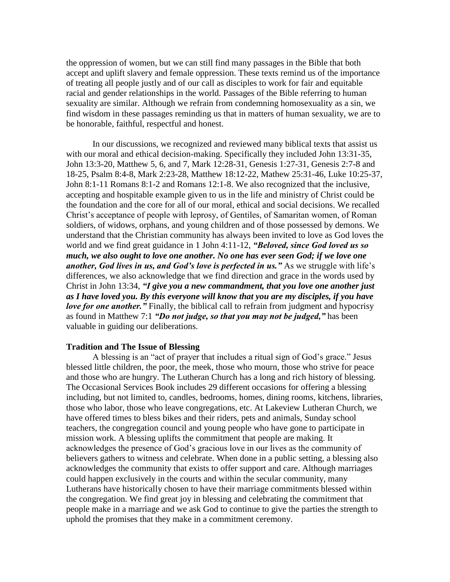the oppression of women, but we can still find many passages in the Bible that both accept and uplift slavery and female oppression. These texts remind us of the importance of treating all people justly and of our call as disciples to work for fair and equitable racial and gender relationships in the world. Passages of the Bible referring to human sexuality are similar. Although we refrain from condemning homosexuality as a sin, we find wisdom in these passages reminding us that in matters of human sexuality, we are to be honorable, faithful, respectful and honest.

In our discussions, we recognized and reviewed many biblical texts that assist us with our moral and ethical decision-making. Specifically they included John 13:31-35, John 13:3-20, Matthew 5, 6, and 7, Mark 12:28-31, Genesis 1:27-31, Genesis 2:7-8 and 18-25, Psalm 8:4-8, Mark 2:23-28, Matthew 18:12-22, Mathew 25:31-46, Luke 10:25-37, John 8:1-11 Romans 8:1-2 and Romans 12:1-8. We also recognized that the inclusive, accepting and hospitable example given to us in the life and ministry of Christ could be the foundation and the core for all of our moral, ethical and social decisions. We recalled Christ's acceptance of people with leprosy, of Gentiles, of Samaritan women, of Roman soldiers, of widows, orphans, and young children and of those possessed by demons. We understand that the Christian community has always been invited to love as God loves the world and we find great guidance in 1 John 4:11-12, *"Beloved, since God loved us so much, we also ought to love one another. No one has ever seen God; if we love one* another, God lives in us, and God's love is perfected in us." As we struggle with life's differences, we also acknowledge that we find direction and grace in the words used by Christ in John 13:34, *"I give you a new commandment, that you love one another just as I have loved you. By this everyone will know that you are my disciples, if you have love for one another.*" Finally, the biblical call to refrain from judgment and hypocrisy as found in Matthew 7:1 *"Do not judge, so that you may not be judged,"* has been valuable in guiding our deliberations.

### **Tradition and The Issue of Blessing**

A blessing is an "act of prayer that includes a ritual sign of God's grace." Jesus blessed little children, the poor, the meek, those who mourn, those who strive for peace and those who are hungry. The Lutheran Church has a long and rich history of blessing. The Occasional Services Book includes 29 different occasions for offering a blessing including, but not limited to, candles, bedrooms, homes, dining rooms, kitchens, libraries, those who labor, those who leave congregations, etc. At Lakeview Lutheran Church, we have offered times to bless bikes and their riders, pets and animals, Sunday school teachers, the congregation council and young people who have gone to participate in mission work. A blessing uplifts the commitment that people are making. It acknowledges the presence of God's gracious love in our lives as the community of believers gathers to witness and celebrate. When done in a public setting, a blessing also acknowledges the community that exists to offer support and care. Although marriages could happen exclusively in the courts and within the secular community, many Lutherans have historically chosen to have their marriage commitments blessed within the congregation. We find great joy in blessing and celebrating the commitment that people make in a marriage and we ask God to continue to give the parties the strength to uphold the promises that they make in a commitment ceremony.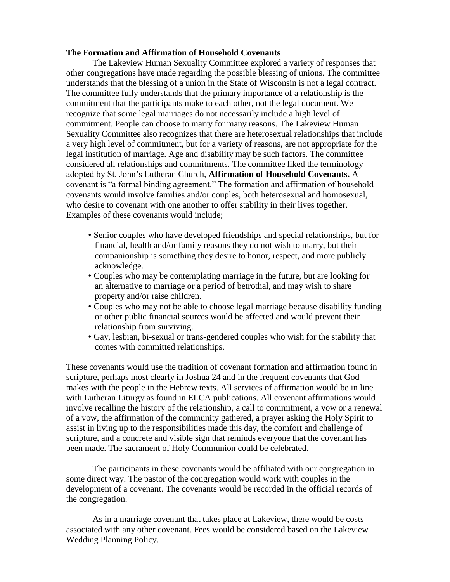# **The Formation and Affirmation of Household Covenants**

The Lakeview Human Sexuality Committee explored a variety of responses that other congregations have made regarding the possible blessing of unions. The committee understands that the blessing of a union in the State of Wisconsin is not a legal contract. The committee fully understands that the primary importance of a relationship is the commitment that the participants make to each other, not the legal document. We recognize that some legal marriages do not necessarily include a high level of commitment. People can choose to marry for many reasons. The Lakeview Human Sexuality Committee also recognizes that there are heterosexual relationships that include a very high level of commitment, but for a variety of reasons, are not appropriate for the legal institution of marriage. Age and disability may be such factors. The committee considered all relationships and commitments. The committee liked the terminology adopted by St. John's Lutheran Church, **Affirmation of Household Covenants.** A covenant is "a formal binding agreement." The formation and affirmation of household covenants would involve families and/or couples, both heterosexual and homosexual, who desire to covenant with one another to offer stability in their lives together. Examples of these covenants would include;

- Senior couples who have developed friendships and special relationships, but for financial, health and/or family reasons they do not wish to marry, but their companionship is something they desire to honor, respect, and more publicly acknowledge.
- Couples who may be contemplating marriage in the future, but are looking for an alternative to marriage or a period of betrothal, and may wish to share property and/or raise children.
- Couples who may not be able to choose legal marriage because disability funding or other public financial sources would be affected and would prevent their relationship from surviving.
- Gay, lesbian, bi-sexual or trans-gendered couples who wish for the stability that comes with committed relationships.

These covenants would use the tradition of covenant formation and affirmation found in scripture, perhaps most clearly in Joshua 24 and in the frequent covenants that God makes with the people in the Hebrew texts. All services of affirmation would be in line with Lutheran Liturgy as found in ELCA publications. All covenant affirmations would involve recalling the history of the relationship, a call to commitment, a vow or a renewal of a vow, the affirmation of the community gathered, a prayer asking the Holy Spirit to assist in living up to the responsibilities made this day, the comfort and challenge of scripture, and a concrete and visible sign that reminds everyone that the covenant has been made. The sacrament of Holy Communion could be celebrated.

The participants in these covenants would be affiliated with our congregation in some direct way. The pastor of the congregation would work with couples in the development of a covenant. The covenants would be recorded in the official records of the congregation.

As in a marriage covenant that takes place at Lakeview, there would be costs associated with any other covenant. Fees would be considered based on the Lakeview Wedding Planning Policy.